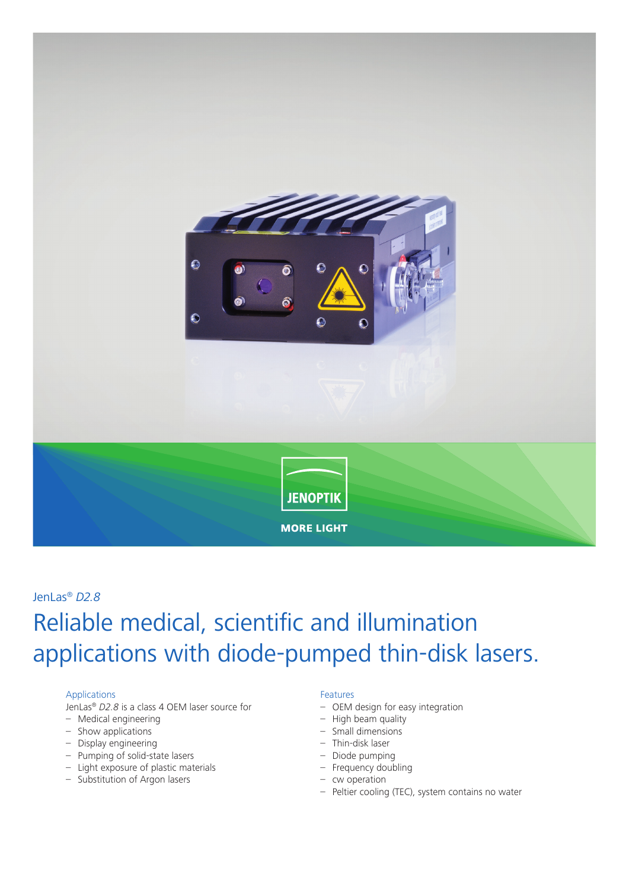

# Reliable medical, scientific and illumination applications with diode-pumped thin-disk lasers. JenLas® *D2.8*

#### Applications

JenLas® *D2.8* is a class 4 OEM laser source for

- Medical engineering
- Show applications
- Display engineering
- Pumping of solid-state lasers
- Light exposure of plastic materials
- Substitution of Argon lasers

#### Features

- OEM design for easy integration
- High beam quality
- Small dimensions
- Thin-disk laser
- Diode pumping
- Frequency doubling
- cw operation
- Peltier cooling (TEC), system contains no water